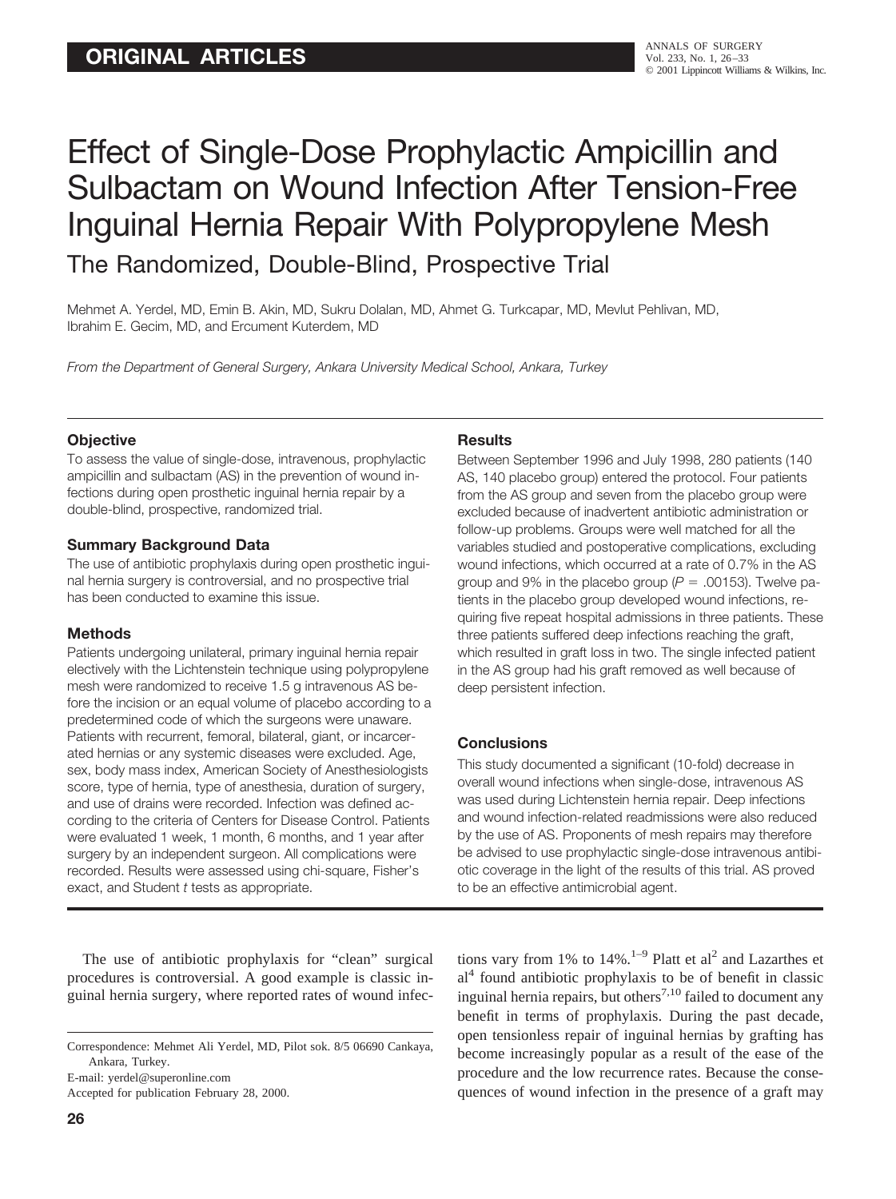# Effect of Single-Dose Prophylactic Ampicillin and Sulbactam on Wound Infection After Tension-Free Inguinal Hernia Repair With Polypropylene Mesh The Randomized, Double-Blind, Prospective Trial

Mehmet A. Yerdel, MD, Emin B. Akin, MD, Sukru Dolalan, MD, Ahmet G. Turkcapar, MD, Mevlut Pehlivan, MD, Ibrahim E. Gecim, MD, and Ercument Kuterdem, MD

*From the Department of General Surgery, Ankara University Medical School, Ankara, Turkey*

#### **Objective**

To assess the value of single-dose, intravenous, prophylactic ampicillin and sulbactam (AS) in the prevention of wound infections during open prosthetic inguinal hernia repair by a double-blind, prospective, randomized trial.

#### **Summary Background Data**

The use of antibiotic prophylaxis during open prosthetic inguinal hernia surgery is controversial, and no prospective trial has been conducted to examine this issue.

#### **Methods**

Patients undergoing unilateral, primary inguinal hernia repair electively with the Lichtenstein technique using polypropylene mesh were randomized to receive 1.5 g intravenous AS before the incision or an equal volume of placebo according to a predetermined code of which the surgeons were unaware. Patients with recurrent, femoral, bilateral, giant, or incarcerated hernias or any systemic diseases were excluded. Age, sex, body mass index, American Society of Anesthesiologists score, type of hernia, type of anesthesia, duration of surgery, and use of drains were recorded. Infection was defined according to the criteria of Centers for Disease Control. Patients were evaluated 1 week, 1 month, 6 months, and 1 year after surgery by an independent surgeon. All complications were recorded. Results were assessed using chi-square, Fisher's exact, and Student *t* tests as appropriate.

The use of antibiotic prophylaxis for "clean" surgical procedures is controversial. A good example is classic inguinal hernia surgery, where reported rates of wound infec-

E-mail: yerdel@superonline.com

Accepted for publication February 28, 2000.

#### **Results**

Between September 1996 and July 1998, 280 patients (140 AS, 140 placebo group) entered the protocol. Four patients from the AS group and seven from the placebo group were excluded because of inadvertent antibiotic administration or follow-up problems. Groups were well matched for all the variables studied and postoperative complications, excluding wound infections, which occurred at a rate of 0.7% in the AS group and 9% in the placebo group  $(P = .00153)$ . Twelve patients in the placebo group developed wound infections, requiring five repeat hospital admissions in three patients. These three patients suffered deep infections reaching the graft, which resulted in graft loss in two. The single infected patient in the AS group had his graft removed as well because of deep persistent infection.

## **Conclusions**

This study documented a significant (10-fold) decrease in overall wound infections when single-dose, intravenous AS was used during Lichtenstein hernia repair. Deep infections and wound infection-related readmissions were also reduced by the use of AS. Proponents of mesh repairs may therefore be advised to use prophylactic single-dose intravenous antibiotic coverage in the light of the results of this trial. AS proved to be an effective antimicrobial agent.

tions vary from 1% to  $14\%$ .<sup>1–9</sup> Platt et al<sup>2</sup> and Lazarthes et  $al<sup>4</sup>$  found antibiotic prophylaxis to be of benefit in classic inguinal hernia repairs, but others<sup>7,10</sup> failed to document any benefit in terms of prophylaxis. During the past decade, open tensionless repair of inguinal hernias by grafting has become increasingly popular as a result of the ease of the procedure and the low recurrence rates. Because the consequences of wound infection in the presence of a graft may

Correspondence: Mehmet Ali Yerdel, MD, Pilot sok. 8/5 06690 Cankaya, Ankara, Turkey.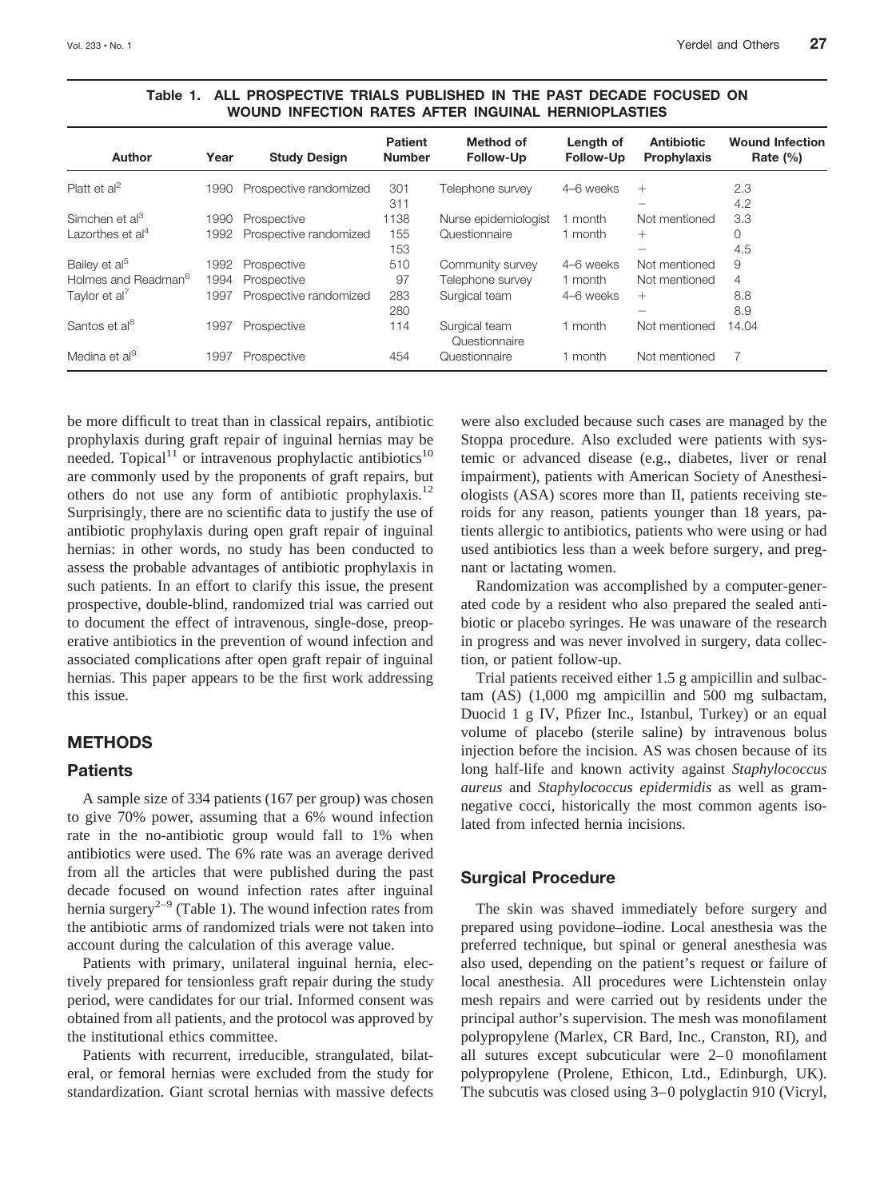| <b>Author</b>                   | Year | <b>Study Design</b>    | <b>Patient</b><br><b>Number</b> | Method of<br><b>Follow-Up</b>  | Length of<br><b>Follow-Up</b> | <b>Antibiotic</b><br>Prophylaxis | <b>Wound Infection</b><br>Rate $(\% )$ |
|---------------------------------|------|------------------------|---------------------------------|--------------------------------|-------------------------------|----------------------------------|----------------------------------------|
| Platt et $al^2$                 | 1990 | Prospective randomized | 301                             | Telephone survey               | 4-6 weeks                     | $^{+}$                           | 2.3                                    |
|                                 |      |                        | 311                             |                                |                               |                                  | 4.2                                    |
| Simchen et al <sup>3</sup>      | 1990 | Prospective            | 1138                            | Nurse epidemiologist           | 1 month                       | Not mentioned                    | 3.3                                    |
| Lazorthes et al <sup>4</sup>    | 1992 | Prospective randomized | 155                             | Questionnaire                  | 1 month                       | $^{+}$                           | 0                                      |
|                                 |      |                        | 153                             |                                |                               | -                                | 4.5                                    |
| Bailey et al <sup>5</sup>       | 1992 | Prospective            | 510                             | Community survey               | 4-6 weeks                     | Not mentioned                    | 9                                      |
| Holmes and Readman <sup>6</sup> | 1994 | Prospective            | 97                              | Telephone survey               | 1 month                       | Not mentioned                    | 4                                      |
| Taylor et al <sup>7</sup>       | 1997 | Prospective randomized | 283                             | Surgical team                  | 4-6 weeks                     | $^{+}$                           | 8.8                                    |
|                                 |      |                        | 280                             |                                |                               |                                  | 8.9                                    |
| Santos et al <sup>8</sup>       | 1997 | Prospective            | 114                             | Surgical team<br>Questionnaire | 1 month                       | Not mentioned                    | 14.04                                  |
| Medina et al <sup>9</sup>       | 1997 | Prospective            | 454                             | Questionnaire                  | 1 month                       | Not mentioned                    |                                        |

**Table 1. ALL PROSPECTIVE TRIALS PUBLISHED IN THE PAST DECADE FOCUSED ON WOUND INFECTION RATES AFTER INGUINAL HERNIOPLASTIES**

be more difficult to treat than in classical repairs, antibiotic prophylaxis during graft repair of inguinal hernias may be needed. Topical<sup>11</sup> or intravenous prophylactic antibiotics<sup>10</sup> are commonly used by the proponents of graft repairs, but others do not use any form of antibiotic prophylaxis.<sup>12</sup> Surprisingly, there are no scientific data to justify the use of antibiotic prophylaxis during open graft repair of inguinal hernias: in other words, no study has been conducted to assess the probable advantages of antibiotic prophylaxis in such patients. In an effort to clarify this issue, the present prospective, double-blind, randomized trial was carried out to document the effect of intravenous, single-dose, preoperative antibiotics in the prevention of wound infection and associated complications after open graft repair of inguinal hernias. This paper appears to be the first work addressing this issue.

## **METHODS**

#### **Patients**

A sample size of 334 patients (167 per group) was chosen to give 70% power, assuming that a 6% wound infection rate in the no-antibiotic group would fall to 1% when antibiotics were used. The 6% rate was an average derived from all the articles that were published during the past decade focused on wound infection rates after inguinal hernia surgery<sup>2–9</sup> (Table 1). The wound infection rates from the antibiotic arms of randomized trials were not taken into account during the calculation of this average value.

Patients with primary, unilateral inguinal hernia, electively prepared for tensionless graft repair during the study period, were candidates for our trial. Informed consent was obtained from all patients, and the protocol was approved by the institutional ethics committee.

Patients with recurrent, irreducible, strangulated, bilateral, or femoral hernias were excluded from the study for standardization. Giant scrotal hernias with massive defects were also excluded because such cases are managed by the Stoppa procedure. Also excluded were patients with systemic or advanced disease (e.g., diabetes, liver or renal impairment), patients with American Society of Anesthesiologists (ASA) scores more than II, patients receiving steroids for any reason, patients younger than 18 years, patients allergic to antibiotics, patients who were using or had used antibiotics less than a week before surgery, and pregnant or lactating women.

Randomization was accomplished by a computer-generated code by a resident who also prepared the sealed antibiotic or placebo syringes. He was unaware of the research in progress and was never involved in surgery, data collection, or patient follow-up.

Trial patients received either 1.5 g ampicillin and sulbactam (AS) (1,000 mg ampicillin and 500 mg sulbactam, Duocid 1 g IV, Pfizer Inc., Istanbul, Turkey) or an equal volume of placebo (sterile saline) by intravenous bolus injection before the incision. AS was chosen because of its long half-life and known activity against *Staphylococcus aureus* and *Staphylococcus epidermidis* as well as gramnegative cocci, historically the most common agents isolated from infected hernia incisions.

#### **Surgical Procedure**

The skin was shaved immediately before surgery and prepared using povidone–iodine. Local anesthesia was the preferred technique, but spinal or general anesthesia was also used, depending on the patient's request or failure of local anesthesia. All procedures were Lichtenstein onlay mesh repairs and were carried out by residents under the principal author's supervision. The mesh was monofilament polypropylene (Marlex, CR Bard, Inc., Cranston, RI), and all sutures except subcuticular were 2–0 monofilament polypropylene (Prolene, Ethicon, Ltd., Edinburgh, UK). The subcutis was closed using 3–0 polyglactin 910 (Vicryl,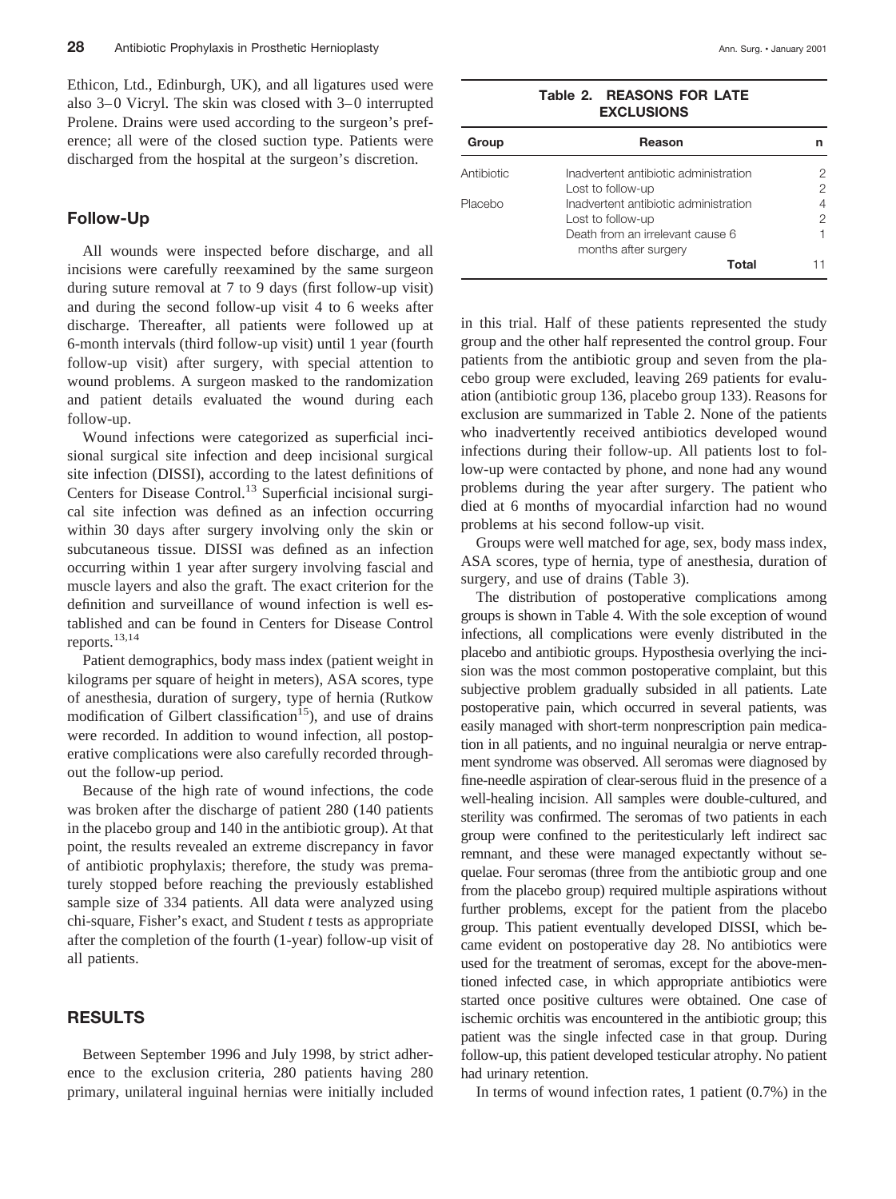Ethicon, Ltd., Edinburgh, UK), and all ligatures used were also 3–0 Vicryl. The skin was closed with 3–0 interrupted Prolene. Drains were used according to the surgeon's preference; all were of the closed suction type. Patients were discharged from the hospital at the surgeon's discretion.

#### **Follow-Up**

All wounds were inspected before discharge, and all incisions were carefully reexamined by the same surgeon during suture removal at 7 to 9 days (first follow-up visit) and during the second follow-up visit 4 to 6 weeks after discharge. Thereafter, all patients were followed up at 6-month intervals (third follow-up visit) until 1 year (fourth follow-up visit) after surgery, with special attention to wound problems. A surgeon masked to the randomization and patient details evaluated the wound during each follow-up.

Wound infections were categorized as superficial incisional surgical site infection and deep incisional surgical site infection (DISSI), according to the latest definitions of Centers for Disease Control.<sup>13</sup> Superficial incisional surgical site infection was defined as an infection occurring within 30 days after surgery involving only the skin or subcutaneous tissue. DISSI was defined as an infection occurring within 1 year after surgery involving fascial and muscle layers and also the graft. The exact criterion for the definition and surveillance of wound infection is well established and can be found in Centers for Disease Control reports.13,14

Patient demographics, body mass index (patient weight in kilograms per square of height in meters), ASA scores, type of anesthesia, duration of surgery, type of hernia (Rutkow modification of Gilbert classification<sup>15</sup>), and use of drains were recorded. In addition to wound infection, all postoperative complications were also carefully recorded throughout the follow-up period.

Because of the high rate of wound infections, the code was broken after the discharge of patient 280 (140 patients in the placebo group and 140 in the antibiotic group). At that point, the results revealed an extreme discrepancy in favor of antibiotic prophylaxis; therefore, the study was prematurely stopped before reaching the previously established sample size of 334 patients. All data were analyzed using chi-square, Fisher's exact, and Student *t* tests as appropriate after the completion of the fourth (1-year) follow-up visit of all patients.

## **RESULTS**

Between September 1996 and July 1998, by strict adherence to the exclusion criteria, 280 patients having 280 primary, unilateral inguinal hernias were initially included

#### **Table 2. REASONS FOR LATE EXCLUSIONS**

| Group      | Reason                                                   |   |
|------------|----------------------------------------------------------|---|
| Antibiotic | Inadvertent antibiotic administration                    | 2 |
|            | Lost to follow-up                                        | 2 |
| Placebo    | Inadvertent antibiotic administration                    | 4 |
|            | Lost to follow-up                                        | 2 |
|            | Death from an irrelevant cause 6<br>months after surgery | 1 |
|            | Total                                                    |   |

in this trial. Half of these patients represented the study group and the other half represented the control group. Four patients from the antibiotic group and seven from the placebo group were excluded, leaving 269 patients for evaluation (antibiotic group 136, placebo group 133). Reasons for exclusion are summarized in Table 2. None of the patients who inadvertently received antibiotics developed wound infections during their follow-up. All patients lost to follow-up were contacted by phone, and none had any wound problems during the year after surgery. The patient who died at 6 months of myocardial infarction had no wound problems at his second follow-up visit.

Groups were well matched for age, sex, body mass index, ASA scores, type of hernia, type of anesthesia, duration of surgery, and use of drains (Table 3).

The distribution of postoperative complications among groups is shown in Table 4. With the sole exception of wound infections, all complications were evenly distributed in the placebo and antibiotic groups. Hyposthesia overlying the incision was the most common postoperative complaint, but this subjective problem gradually subsided in all patients. Late postoperative pain, which occurred in several patients, was easily managed with short-term nonprescription pain medication in all patients, and no inguinal neuralgia or nerve entrapment syndrome was observed. All seromas were diagnosed by fine-needle aspiration of clear-serous fluid in the presence of a well-healing incision. All samples were double-cultured, and sterility was confirmed. The seromas of two patients in each group were confined to the peritesticularly left indirect sac remnant, and these were managed expectantly without sequelae. Four seromas (three from the antibiotic group and one from the placebo group) required multiple aspirations without further problems, except for the patient from the placebo group. This patient eventually developed DISSI, which became evident on postoperative day 28. No antibiotics were used for the treatment of seromas, except for the above-mentioned infected case, in which appropriate antibiotics were started once positive cultures were obtained. One case of ischemic orchitis was encountered in the antibiotic group; this patient was the single infected case in that group. During follow-up, this patient developed testicular atrophy. No patient had urinary retention.

In terms of wound infection rates,  $1$  patient  $(0.7%)$  in the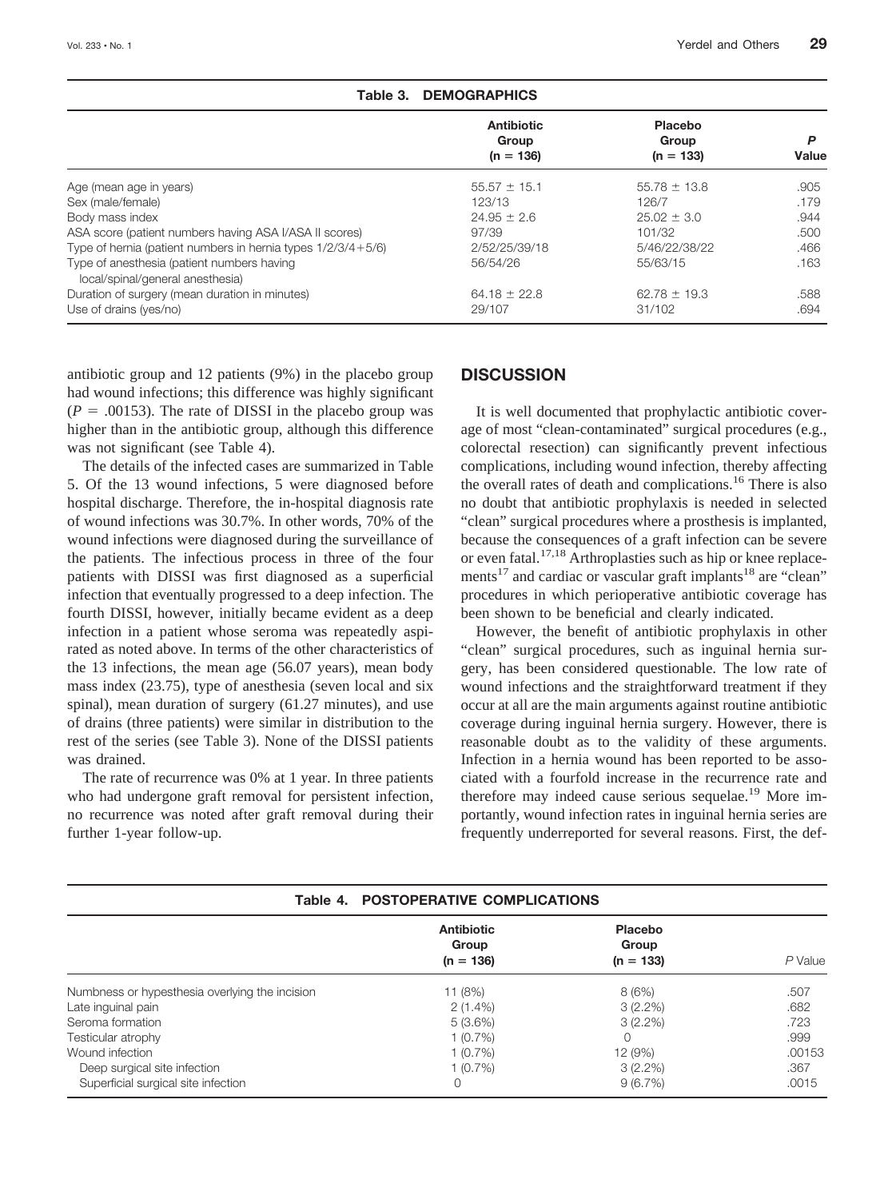|                                                                                | Antibiotic<br>Group<br>$(n = 136)$ | <b>Placebo</b><br>Group<br>$(n = 133)$ | P<br>Value |
|--------------------------------------------------------------------------------|------------------------------------|----------------------------------------|------------|
|                                                                                |                                    |                                        |            |
| Age (mean age in years)                                                        | $55.57 \pm 15.1$                   | $55.78 \pm 13.8$                       | .905       |
| Sex (male/female)                                                              | 123/13                             | 126/7                                  | .179       |
| Body mass index                                                                | $24.95 \pm 2.6$                    | $25.02 \pm 3.0$                        | .944       |
| ASA score (patient numbers having ASA I/ASA II scores)                         | 97/39                              | 101/32                                 | .500       |
| Type of hernia (patient numbers in hernia types $1/2/3/4+5/6$ )                | 2/52/25/39/18                      | 5/46/22/38/22                          | .466       |
| Type of anesthesia (patient numbers having<br>local/spinal/general anesthesia) | 56/54/26                           | 55/63/15                               | .163       |
| Duration of surgery (mean duration in minutes)                                 | $64.18 \pm 22.8$                   | $62.78 \pm 19.3$                       | .588       |
| Use of drains (yes/no)                                                         | 29/107                             | 31/102                                 | .694       |

| Table 3. DEMOGRAPHICS |  |  |  |
|-----------------------|--|--|--|
|-----------------------|--|--|--|

antibiotic group and 12 patients (9%) in the placebo group had wound infections; this difference was highly significant  $(P = .00153)$ . The rate of DISSI in the placebo group was higher than in the antibiotic group, although this difference was not significant (see Table 4).

The details of the infected cases are summarized in Table 5. Of the 13 wound infections, 5 were diagnosed before hospital discharge. Therefore, the in-hospital diagnosis rate of wound infections was 30.7%. In other words, 70% of the wound infections were diagnosed during the surveillance of the patients. The infectious process in three of the four patients with DISSI was first diagnosed as a superficial infection that eventually progressed to a deep infection. The fourth DISSI, however, initially became evident as a deep infection in a patient whose seroma was repeatedly aspirated as noted above. In terms of the other characteristics of the 13 infections, the mean age (56.07 years), mean body mass index (23.75), type of anesthesia (seven local and six spinal), mean duration of surgery (61.27 minutes), and use of drains (three patients) were similar in distribution to the rest of the series (see Table 3). None of the DISSI patients was drained.

The rate of recurrence was 0% at 1 year. In three patients who had undergone graft removal for persistent infection, no recurrence was noted after graft removal during their further 1-year follow-up.

## **DISCUSSION**

It is well documented that prophylactic antibiotic coverage of most "clean-contaminated" surgical procedures (e.g., colorectal resection) can significantly prevent infectious complications, including wound infection, thereby affecting the overall rates of death and complications.<sup>16</sup> There is also no doubt that antibiotic prophylaxis is needed in selected "clean" surgical procedures where a prosthesis is implanted, because the consequences of a graft infection can be severe or even fatal.17,18 Arthroplasties such as hip or knee replacements<sup>17</sup> and cardiac or vascular graft implants<sup>18</sup> are "clean" procedures in which perioperative antibiotic coverage has been shown to be beneficial and clearly indicated.

However, the benefit of antibiotic prophylaxis in other "clean" surgical procedures, such as inguinal hernia surgery, has been considered questionable. The low rate of wound infections and the straightforward treatment if they occur at all are the main arguments against routine antibiotic coverage during inguinal hernia surgery. However, there is reasonable doubt as to the validity of these arguments. Infection in a hernia wound has been reported to be associated with a fourfold increase in the recurrence rate and therefore may indeed cause serious sequelae.<sup>19</sup> More importantly, wound infection rates in inguinal hernia series are frequently underreported for several reasons. First, the def-

|                                                | Table 4. POSTOPERATIVE COMPLICATIONS      |                                 |           |
|------------------------------------------------|-------------------------------------------|---------------------------------|-----------|
|                                                | <b>Antibiotic</b><br>Group<br>$(n = 136)$ | Placebo<br>Group<br>$(n = 133)$ | $P$ Value |
| Numbness or hypesthesia overlying the incision | 11(8%)                                    | 8(6%)                           | .507      |
| Late inguinal pain                             | $2(1.4\%)$                                | $3(2.2\%)$                      | .682      |
| Seroma formation                               | 5 (3.6%)                                  | $3(2.2\%)$                      | .723      |
| Testicular atrophy                             | 1(0.7%)                                   |                                 | .999      |
| Wound infection                                | 1(0.7%)                                   | 12 (9%)                         | .00153    |
| Deep surgical site infection                   | 1(0.7%)                                   | $3(2.2\%)$                      | .367      |
| Superficial surgical site infection            | 0                                         | 9(6.7%)                         | .0015     |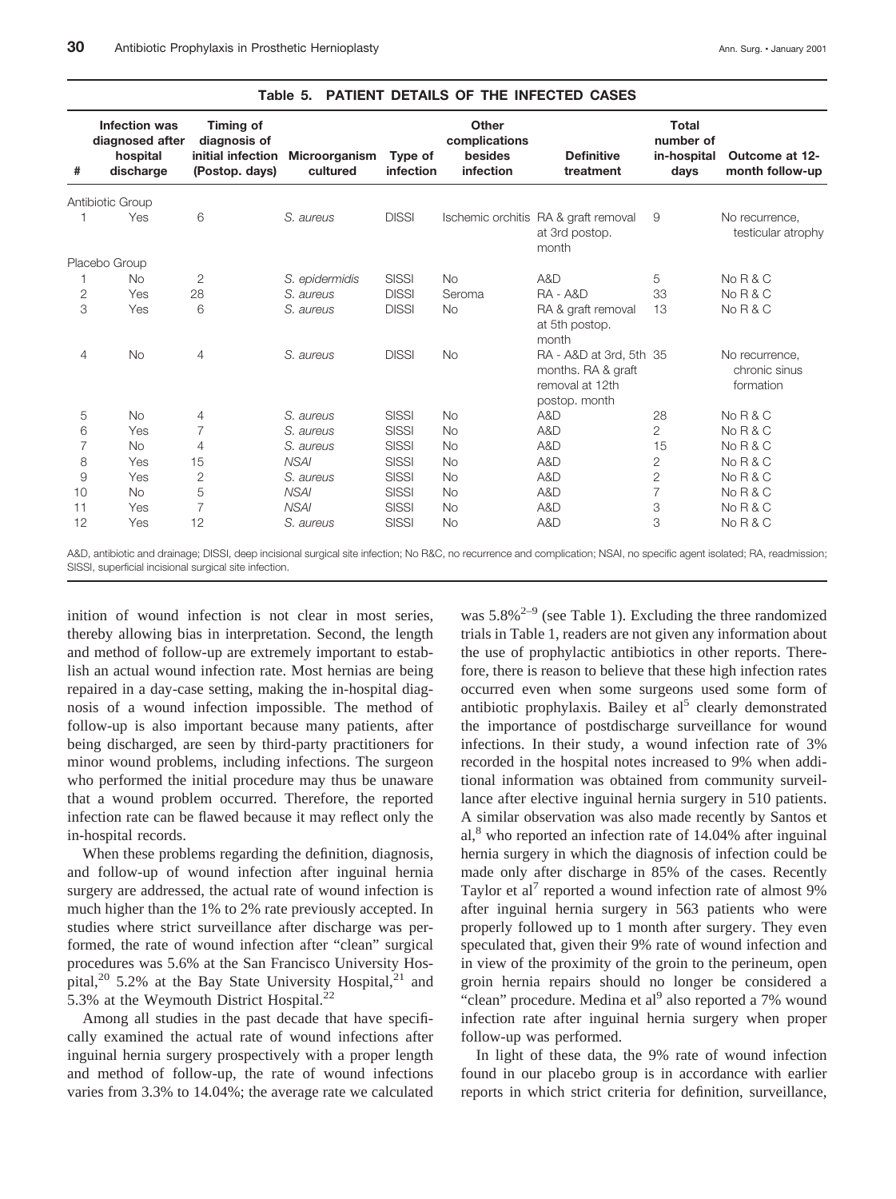| #              | Infection was<br>diagnosed after<br>hospital<br>discharge | Timing of<br>diagnosis of<br>initial infection<br>(Postop. days) | <b>Microorganism</b><br>cultured | Type of<br>infection | Other<br>complications<br>besides<br>infection | <b>Definitive</b><br>treatment                                                    | Total<br>number of<br>in-hospital<br>days | Outcome at 12-<br>month follow-up            |
|----------------|-----------------------------------------------------------|------------------------------------------------------------------|----------------------------------|----------------------|------------------------------------------------|-----------------------------------------------------------------------------------|-------------------------------------------|----------------------------------------------|
|                | Antibiotic Group                                          |                                                                  |                                  |                      |                                                |                                                                                   |                                           |                                              |
|                | Yes                                                       | 6                                                                | S. aureus                        | <b>DISSI</b>         |                                                | Ischemic orchitis RA & graft removal<br>at 3rd postop.<br>month                   | 9                                         | No recurrence.<br>testicular atrophy         |
|                | Placebo Group                                             |                                                                  |                                  |                      |                                                |                                                                                   |                                           |                                              |
|                | <b>No</b>                                                 | $\overline{2}$                                                   | S. epidermidis                   | <b>SISSI</b>         | <b>No</b>                                      | A&D                                                                               | 5                                         | $N_0 R & C$                                  |
| $\overline{2}$ | Yes                                                       | 28                                                               | S. aureus                        | <b>DISSI</b>         | Seroma                                         | $RA - A&D$                                                                        | 33                                        | $N_0 R & C$                                  |
| 3              | Yes                                                       | 6                                                                | S. aureus                        | <b>DISSI</b>         | <b>No</b>                                      | RA & graft removal<br>at 5th postop.<br>month                                     | 13                                        | No R & C                                     |
| 4              | No                                                        | $\overline{4}$                                                   | S. aureus                        | <b>DISSI</b>         | <b>No</b>                                      | RA - A&D at 3rd, 5th 35<br>months. RA & graft<br>removal at 12th<br>postop. month |                                           | No recurrence,<br>chronic sinus<br>formation |
| 5              | <b>No</b>                                                 | $\overline{4}$                                                   | S. aureus                        | <b>SISSI</b>         | <b>No</b>                                      | A&D                                                                               | 28                                        | No R & C                                     |
| 6              | Yes                                                       | $\overline{7}$                                                   | S. aureus                        | <b>SISSI</b>         | <b>No</b>                                      | A&D                                                                               | $\overline{2}$                            | No R & C                                     |
| $\overline{7}$ | <b>No</b>                                                 | $\overline{4}$                                                   | S. aureus                        | <b>SISSI</b>         | <b>No</b>                                      | A&D                                                                               | 15                                        | $N_0 R & C$                                  |
| 8              | Yes                                                       | 15                                                               | <b>NSAI</b>                      | <b>SISSI</b>         | <b>No</b>                                      | A&D                                                                               | 2                                         | No R & C                                     |
| $\Theta$       | Yes                                                       | $\overline{2}$                                                   | S. aureus                        | <b>SISSI</b>         | <b>No</b>                                      | A&D                                                                               | $\overline{2}$                            | No R & C                                     |
| 10             | <b>No</b>                                                 | 5                                                                | <b>NSAI</b>                      | <b>SISSI</b>         | <b>No</b>                                      | A&D                                                                               | $\overline{7}$                            | No R & C                                     |
| 11             | Yes                                                       | $\overline{7}$                                                   | <b>NSAI</b>                      | <b>SISSI</b>         | <b>No</b>                                      | A&D                                                                               | 3                                         | No R & C                                     |
| 12             | Yes                                                       | 12                                                               | S. aureus                        | <b>SISSI</b>         | <b>No</b>                                      | A&D                                                                               | 3                                         | No R & C                                     |

#### **Table 5. PATIENT DETAILS OF THE INFECTED CASES**

A&D, antibiotic and drainage; DISSI, deep incisional surgical site infection; No R&C, no recurrence and complication; NSAI, no specific agent isolated; RA, readmission; SISSI, superficial incisional surgical site infection.

inition of wound infection is not clear in most series, thereby allowing bias in interpretation. Second, the length and method of follow-up are extremely important to establish an actual wound infection rate. Most hernias are being repaired in a day-case setting, making the in-hospital diagnosis of a wound infection impossible. The method of follow-up is also important because many patients, after being discharged, are seen by third-party practitioners for minor wound problems, including infections. The surgeon who performed the initial procedure may thus be unaware that a wound problem occurred. Therefore, the reported infection rate can be flawed because it may reflect only the in-hospital records.

When these problems regarding the definition, diagnosis, and follow-up of wound infection after inguinal hernia surgery are addressed, the actual rate of wound infection is much higher than the 1% to 2% rate previously accepted. In studies where strict surveillance after discharge was performed, the rate of wound infection after "clean" surgical procedures was 5.6% at the San Francisco University Hospital,<sup>20</sup> 5.2% at the Bay State University Hospital,<sup>21</sup> and 5.3% at the Weymouth District Hospital.<sup>22</sup>

Among all studies in the past decade that have specifically examined the actual rate of wound infections after inguinal hernia surgery prospectively with a proper length and method of follow-up, the rate of wound infections varies from 3.3% to 14.04%; the average rate we calculated

was  $5.8\%^{2-9}$  (see Table 1). Excluding the three randomized trials in Table 1, readers are not given any information about the use of prophylactic antibiotics in other reports. Therefore, there is reason to believe that these high infection rates occurred even when some surgeons used some form of antibiotic prophylaxis. Bailey et  $al<sup>5</sup>$  clearly demonstrated the importance of postdischarge surveillance for wound infections. In their study, a wound infection rate of 3% recorded in the hospital notes increased to 9% when additional information was obtained from community surveillance after elective inguinal hernia surgery in 510 patients. A similar observation was also made recently by Santos et al,<sup>8</sup> who reported an infection rate of 14.04% after inguinal hernia surgery in which the diagnosis of infection could be made only after discharge in 85% of the cases. Recently Taylor et al<sup> $\prime$ </sup> reported a wound infection rate of almost 9% after inguinal hernia surgery in 563 patients who were properly followed up to 1 month after surgery. They even speculated that, given their 9% rate of wound infection and in view of the proximity of the groin to the perineum, open groin hernia repairs should no longer be considered a "clean" procedure. Medina et al<sup>9</sup> also reported a 7% wound infection rate after inguinal hernia surgery when proper follow-up was performed.

In light of these data, the 9% rate of wound infection found in our placebo group is in accordance with earlier reports in which strict criteria for definition, surveillance,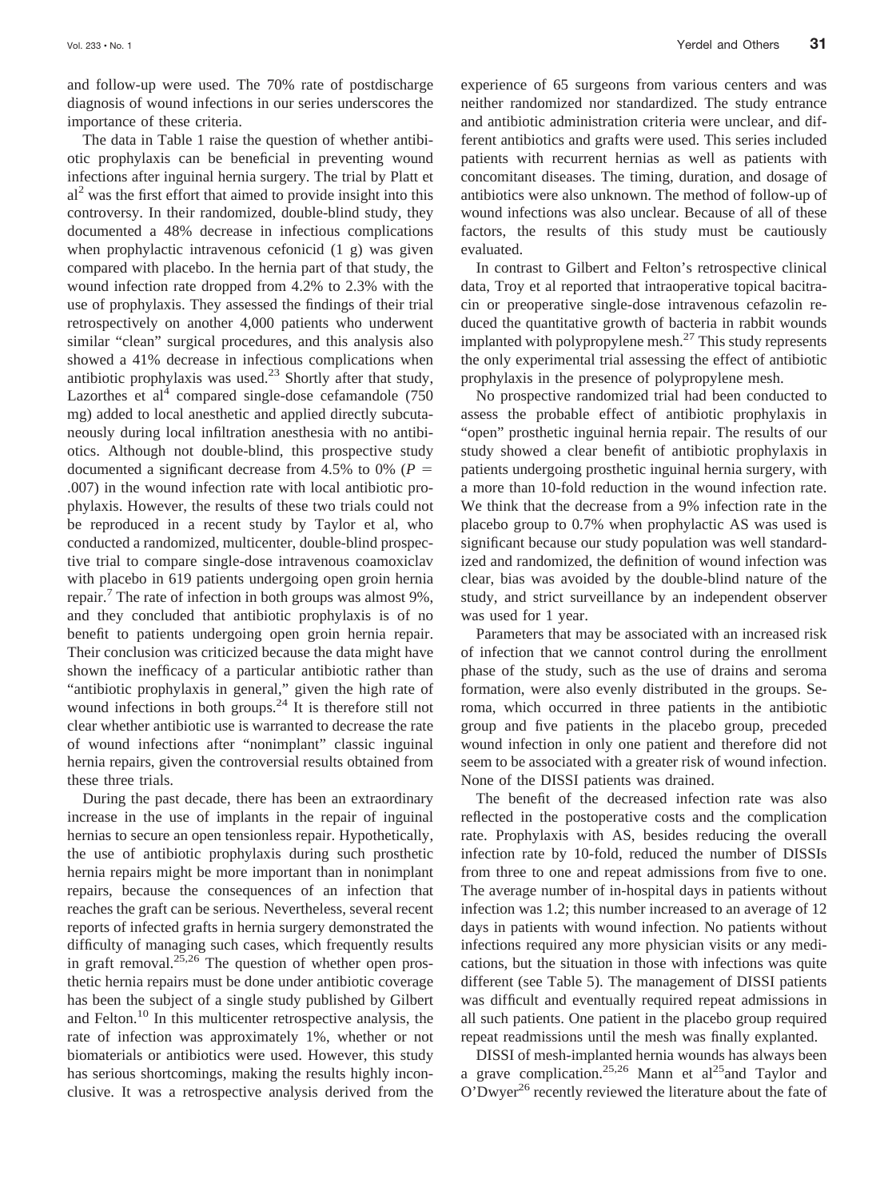and follow-up were used. The 70% rate of postdischarge diagnosis of wound infections in our series underscores the importance of these criteria.

The data in Table 1 raise the question of whether antibiotic prophylaxis can be beneficial in preventing wound infections after inguinal hernia surgery. The trial by Platt et  $al<sup>2</sup>$  was the first effort that aimed to provide insight into this controversy. In their randomized, double-blind study, they documented a 48% decrease in infectious complications when prophylactic intravenous cefonicid (1 g) was given compared with placebo. In the hernia part of that study, the wound infection rate dropped from 4.2% to 2.3% with the use of prophylaxis. They assessed the findings of their trial retrospectively on another 4,000 patients who underwent similar "clean" surgical procedures, and this analysis also showed a 41% decrease in infectious complications when antibiotic prophylaxis was used.23 Shortly after that study, Lazorthes et al<sup>4</sup> compared single-dose cefamandole  $(750$ mg) added to local anesthetic and applied directly subcutaneously during local infiltration anesthesia with no antibiotics. Although not double-blind, this prospective study documented a significant decrease from 4.5% to 0% ( $P =$ .007) in the wound infection rate with local antibiotic prophylaxis. However, the results of these two trials could not be reproduced in a recent study by Taylor et al, who conducted a randomized, multicenter, double-blind prospective trial to compare single-dose intravenous coamoxiclav with placebo in 619 patients undergoing open groin hernia repair.<sup>7</sup> The rate of infection in both groups was almost 9%, and they concluded that antibiotic prophylaxis is of no benefit to patients undergoing open groin hernia repair. Their conclusion was criticized because the data might have shown the inefficacy of a particular antibiotic rather than "antibiotic prophylaxis in general," given the high rate of wound infections in both groups. $24$  It is therefore still not clear whether antibiotic use is warranted to decrease the rate of wound infections after "nonimplant" classic inguinal hernia repairs, given the controversial results obtained from these three trials.

During the past decade, there has been an extraordinary increase in the use of implants in the repair of inguinal hernias to secure an open tensionless repair. Hypothetically, the use of antibiotic prophylaxis during such prosthetic hernia repairs might be more important than in nonimplant repairs, because the consequences of an infection that reaches the graft can be serious. Nevertheless, several recent reports of infected grafts in hernia surgery demonstrated the difficulty of managing such cases, which frequently results in graft removal. $25,26$  The question of whether open prosthetic hernia repairs must be done under antibiotic coverage has been the subject of a single study published by Gilbert and Felton.10 In this multicenter retrospective analysis, the rate of infection was approximately 1%, whether or not biomaterials or antibiotics were used. However, this study has serious shortcomings, making the results highly inconclusive. It was a retrospective analysis derived from the

experience of 65 surgeons from various centers and was neither randomized nor standardized. The study entrance and antibiotic administration criteria were unclear, and different antibiotics and grafts were used. This series included patients with recurrent hernias as well as patients with concomitant diseases. The timing, duration, and dosage of antibiotics were also unknown. The method of follow-up of wound infections was also unclear. Because of all of these factors, the results of this study must be cautiously evaluated.

In contrast to Gilbert and Felton's retrospective clinical data, Troy et al reported that intraoperative topical bacitracin or preoperative single-dose intravenous cefazolin reduced the quantitative growth of bacteria in rabbit wounds implanted with polypropylene mesh. $27$  This study represents the only experimental trial assessing the effect of antibiotic prophylaxis in the presence of polypropylene mesh.

No prospective randomized trial had been conducted to assess the probable effect of antibiotic prophylaxis in "open" prosthetic inguinal hernia repair. The results of our study showed a clear benefit of antibiotic prophylaxis in patients undergoing prosthetic inguinal hernia surgery, with a more than 10-fold reduction in the wound infection rate. We think that the decrease from a 9% infection rate in the placebo group to 0.7% when prophylactic AS was used is significant because our study population was well standardized and randomized, the definition of wound infection was clear, bias was avoided by the double-blind nature of the study, and strict surveillance by an independent observer was used for 1 year.

Parameters that may be associated with an increased risk of infection that we cannot control during the enrollment phase of the study, such as the use of drains and seroma formation, were also evenly distributed in the groups. Seroma, which occurred in three patients in the antibiotic group and five patients in the placebo group, preceded wound infection in only one patient and therefore did not seem to be associated with a greater risk of wound infection. None of the DISSI patients was drained.

The benefit of the decreased infection rate was also reflected in the postoperative costs and the complication rate. Prophylaxis with AS, besides reducing the overall infection rate by 10-fold, reduced the number of DISSIs from three to one and repeat admissions from five to one. The average number of in-hospital days in patients without infection was 1.2; this number increased to an average of 12 days in patients with wound infection. No patients without infections required any more physician visits or any medications, but the situation in those with infections was quite different (see Table 5). The management of DISSI patients was difficult and eventually required repeat admissions in all such patients. One patient in the placebo group required repeat readmissions until the mesh was finally explanted.

DISSI of mesh-implanted hernia wounds has always been a grave complication.<sup>25,26</sup> Mann et al<sup>25</sup>and Taylor and O'Dwyer<sup>26</sup> recently reviewed the literature about the fate of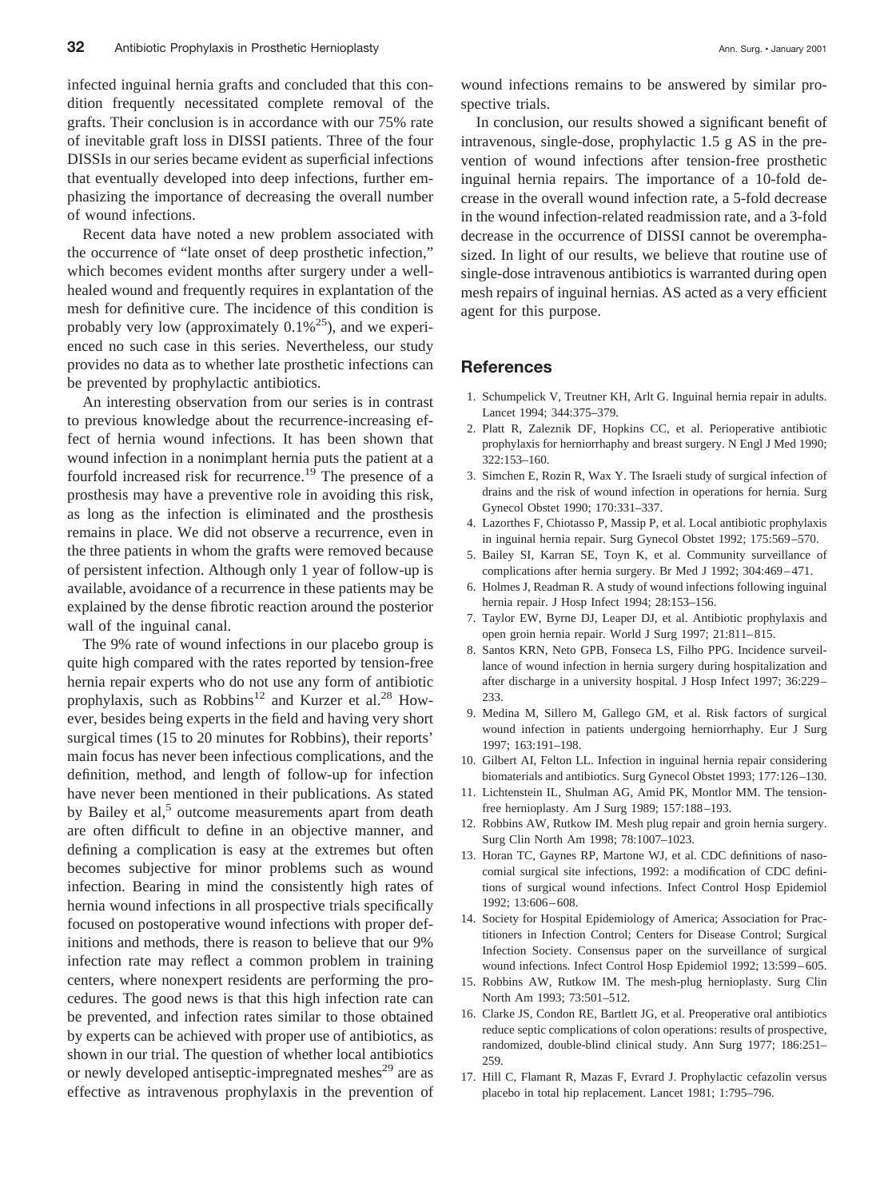of wound infections.

Recent data have noted a new problem associated with the occurrence of "late onset of deep prosthetic infection," which becomes evident months after surgery under a wellhealed wound and frequently requires in explantation of the mesh for definitive cure. The incidence of this condition is probably very low (approximately  $0.1\%^{25}$ ), and we experienced no such case in this series. Nevertheless, our study provides no data as to whether late prosthetic infections can be prevented by prophylactic antibiotics.

An interesting observation from our series is in contrast to previous knowledge about the recurrence-increasing effect of hernia wound infections. It has been shown that wound infection in a nonimplant hernia puts the patient at a fourfold increased risk for recurrence.<sup>19</sup> The presence of a prosthesis may have a preventive role in avoiding this risk, as long as the infection is eliminated and the prosthesis remains in place. We did not observe a recurrence, even in the three patients in whom the grafts were removed because of persistent infection. Although only 1 year of follow-up is available, avoidance of a recurrence in these patients may be explained by the dense fibrotic reaction around the posterior wall of the inguinal canal.

The 9% rate of wound infections in our placebo group is quite high compared with the rates reported by tension-free hernia repair experts who do not use any form of antibiotic prophylaxis, such as Robbins<sup>12</sup> and Kurzer et al.<sup>28</sup> However, besides being experts in the field and having very short surgical times (15 to 20 minutes for Robbins), their reports' main focus has never been infectious complications, and the definition, method, and length of follow-up for infection have never been mentioned in their publications. As stated by Bailey et al, $5$  outcome measurements apart from death are often difficult to define in an objective manner, and defining a complication is easy at the extremes but often becomes subjective for minor problems such as wound infection. Bearing in mind the consistently high rates of hernia wound infections in all prospective trials specifically focused on postoperative wound infections with proper definitions and methods, there is reason to believe that our 9% infection rate may reflect a common problem in training centers, where nonexpert residents are performing the procedures. The good news is that this high infection rate can be prevented, and infection rates similar to those obtained by experts can be achieved with proper use of antibiotics, as shown in our trial. The question of whether local antibiotics or newly developed antiseptic-impregnated meshes<sup>29</sup> are as effective as intravenous prophylaxis in the prevention of wound infections remains to be answered by similar prospective trials.

In conclusion, our results showed a significant benefit of intravenous, single-dose, prophylactic 1.5 g AS in the prevention of wound infections after tension-free prosthetic inguinal hernia repairs. The importance of a 10-fold decrease in the overall wound infection rate, a 5-fold decrease in the wound infection-related readmission rate, and a 3-fold decrease in the occurrence of DISSI cannot be overemphasized. In light of our results, we believe that routine use of single-dose intravenous antibiotics is warranted during open mesh repairs of inguinal hernias. AS acted as a very efficient agent for this purpose.

#### **References**

- 1. Schumpelick V, Treutner KH, Arlt G. Inguinal hernia repair in adults. Lancet 1994; 344:375–379.
- 2. Platt R, Zaleznik DF, Hopkins CC, et al. Perioperative antibiotic prophylaxis for herniorrhaphy and breast surgery. N Engl J Med 1990; 322:153–160.
- 3. Simchen E, Rozin R, Wax Y. The Israeli study of surgical infection of drains and the risk of wound infection in operations for hernia. Surg Gynecol Obstet 1990; 170:331–337.
- 4. Lazorthes F, Chiotasso P, Massip P, et al. Local antibiotic prophylaxis in inguinal hernia repair. Surg Gynecol Obstet 1992; 175:569–570.
- 5. Bailey SI, Karran SE, Toyn K, et al. Community surveillance of complications after hernia surgery. Br Med J 1992; 304:469–471.
- 6. Holmes J, Readman R. A study of wound infections following inguinal hernia repair. J Hosp Infect 1994; 28:153–156.
- 7. Taylor EW, Byrne DJ, Leaper DJ, et al. Antibiotic prophylaxis and open groin hernia repair. World J Surg 1997; 21:811–815.
- 8. Santos KRN, Neto GPB, Fonseca LS, Filho PPG. Incidence surveillance of wound infection in hernia surgery during hospitalization and after discharge in a university hospital. J Hosp Infect 1997; 36:229– 233.
- 9. Medina M, Sillero M, Gallego GM, et al. Risk factors of surgical wound infection in patients undergoing herniorrhaphy. Eur J Surg 1997; 163:191–198.
- 10. Gilbert AI, Felton LL. Infection in inguinal hernia repair considering biomaterials and antibiotics. Surg Gynecol Obstet 1993; 177:126–130.
- 11. Lichtenstein IL, Shulman AG, Amid PK, Montlor MM. The tensionfree hernioplasty. Am J Surg 1989; 157:188–193.
- 12. Robbins AW, Rutkow IM. Mesh plug repair and groin hernia surgery. Surg Clin North Am 1998; 78:1007–1023.
- 13. Horan TC, Gaynes RP, Martone WJ, et al. CDC definitions of nasocomial surgical site infections, 1992: a modification of CDC definitions of surgical wound infections. Infect Control Hosp Epidemiol 1992; 13:606–608.
- 14. Society for Hospital Epidemiology of America; Association for Practitioners in Infection Control; Centers for Disease Control; Surgical Infection Society. Consensus paper on the surveillance of surgical wound infections. Infect Control Hosp Epidemiol 1992; 13:599–605.
- 15. Robbins AW, Rutkow IM. The mesh-plug hernioplasty. Surg Clin North Am 1993; 73:501–512.
- 16. Clarke JS, Condon RE, Bartlett JG, et al. Preoperative oral antibiotics reduce septic complications of colon operations: results of prospective, randomized, double-blind clinical study. Ann Surg 1977; 186:251– 259.
- 17. Hill C, Flamant R, Mazas F, Evrard J. Prophylactic cefazolin versus placebo in total hip replacement. Lancet 1981; 1:795–796.